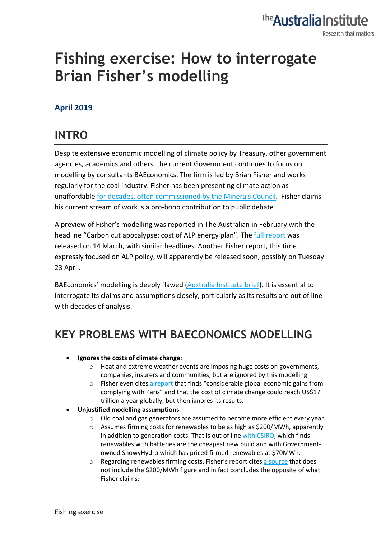#### The **Australia Institute** Research that matters.

# **Fishing exercise: How to interrogate Brian Fisher's modelling**

#### **April 2019**

### **INTRO**

Despite extensive economic modelling of climate policy by Treasury, other government agencies, academics and others, the current Government continues to focus on modelling by consultants BAEconomics. The firm is led by Brian Fisher and works regularly for the coal industry. Fisher has been presenting climate action as unaffordable for decades, often commissioned by the Minerals Council. Fisher claims his current stream of work is a pro-bono contribution to public debate

A preview of Fisher's modelling was reported in The Australian in February with the headline "Carbon cut apocalypse: cost of ALP energy plan". The full report was released on 14 March, with similar headlines. Another Fisher report, this time expressly focused on ALP policy, will apparently be released soon, possibly on Tuesday 23 April.

BAEconomics' modelling is deeply flawed (Australia Institute brief). It is essential to interrogate its claims and assumptions closely, particularly as its results are out of line with decades of analysis.

## **KEY PROBLEMS WITH BAECONOMICS MODELLING**

#### • **Ignores the costs of climate change**:

- o Heat and extreme weather events are imposing huge costs on governments, companies, insurers and communities, but are ignored by this modelling.
- o Fisher even cites a report that finds "considerable global economic gains from complying with Paris" and that the cost of climate change could reach US\$17 trillion a year globally, but then ignores its results.
- **Unjustified modelling assumptions**.
	- o Old coal and gas generators are assumed to become more efficient every year.
	- $\circ$  Assumes firming costs for renewables to be as high as \$200/MWh, apparently in addition to generation costs. That is out of line with CSIRO, which finds renewables with batteries are the cheapest new build and with Governmentowned SnowyHydro which has priced firmed renewables at \$70MWh.
	- $\circ$  Regarding renewables firming costs, Fisher's report cites a source that does not include the \$200/MWh figure and in fact concludes the opposite of what Fisher claims: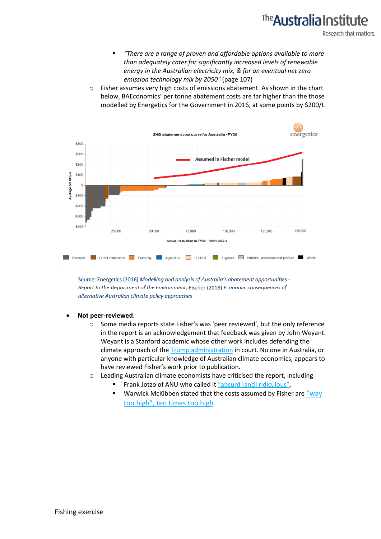## The **Australia Institu**

Research that matters.

- § *"There are a range of proven and affordable options available to more than adequately cater for significantly increased levels of renewable energy in the Australian electricity mix, & for an eventual net zero emission technology mix by 2050"* (page 107)
- o Fisher assumes very high costs of emissions abatement. As shown in the chart below, BAEconomics' per tonne abatement costs are far higher than the those modelled by Energetics for the Government in 2016, at some points by \$200/t.



Source: Energetics (2016) Modelling and analysis of Australia's abatement opportunities -Report to the Department of the Environment, Fischer (2019) Economic consequences of alternative Australian climate policy approaches

- **Not peer-reviewed**.
	- o Some media reports state Fisher's was 'peer reviewed', but the only reference in the report is an acknowledgement that feedback was given by John Weyant. Weyant is a Stanford academic whose other work includes defending the climate approach of the Trump administration in court. No one in Australia, or anyone with particular knowledge of Australian climate economics, appears to have reviewed Fisher's work prior to publication.
	- o Leading Australian climate economists have criticised the report, including
		- § Frank Jotzo of ANU who called it "absurd [and] ridiculous",
		- Warwick McKibben stated that the costs assumed by Fisher are "way too high", ten times too high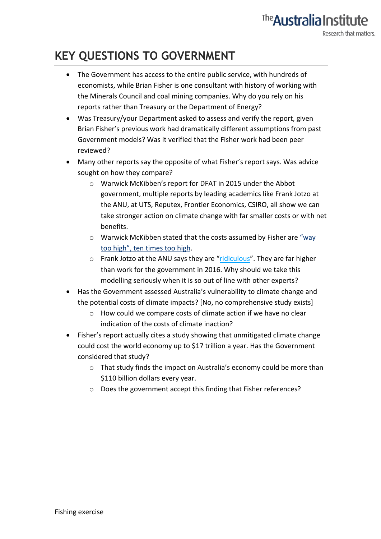#### **KEY QUESTIONS TO GOVERNMENT**

- The Government has access to the entire public service, with hundreds of economists, while Brian Fisher is one consultant with history of working with the Minerals Council and coal mining companies. Why do you rely on his reports rather than Treasury or the Department of Energy?
- Was Treasury/your Department asked to assess and verify the report, given Brian Fisher's previous work had dramatically different assumptions from past Government models? Was it verified that the Fisher work had been peer reviewed?
- Many other reports say the opposite of what Fisher's report says. Was advice sought on how they compare?
	- o Warwick McKibben's report for DFAT in 2015 under the Abbot government, multiple reports by leading academics like Frank Jotzo at the ANU, at UTS, Reputex, Frontier Economics, CSIRO, all show we can take stronger action on climate change with far smaller costs or with net benefits.
	- o Warwick McKibben stated that the costs assumed by Fisher are "way too high", ten times too high.
	- o Frank Jotzo at the ANU says they are "ridiculous". They are far higher than work for the government in 2016. Why should we take this modelling seriously when it is so out of line with other experts?
- Has the Government assessed Australia's vulnerability to climate change and the potential costs of climate impacts? [No, no comprehensive study exists]
	- o How could we compare costs of climate action if we have no clear indication of the costs of climate inaction?
- Fisher's report actually cites a study showing that unmitigated climate change could cost the world economy up to \$17 trillion a year. Has the Government considered that study?
	- o That study finds the impact on Australia's economy could be more than \$110 billion dollars every year.
	- o Does the government accept this finding that Fisher references?